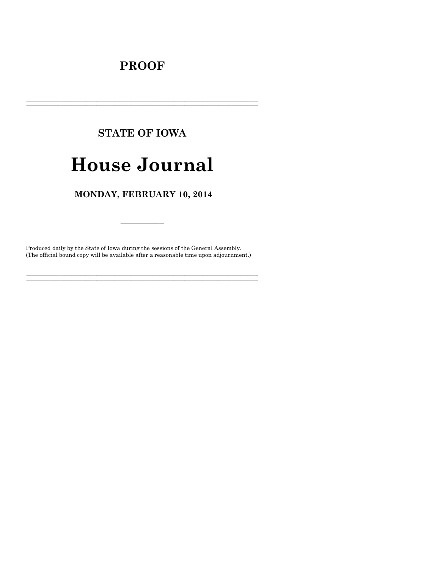# **PROOF**

# **STATE OF IOWA**

# **House Journal**

# MONDAY, FEBRUARY 10, 2014

Produced daily by the State of Iowa during the sessions of the General Assembly. (The official bound copy will be available after a reasonable time upon adjournment.)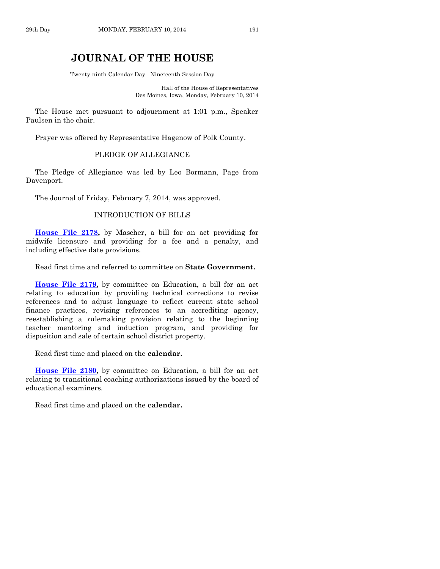# **JOURNAL OF THE HOUSE**

Twenty-ninth Calendar Day - Nineteenth Session Day

Hall of the House of Representatives Des Moines, Iowa, Monday, February 10, 2014

The House met pursuant to adjournment at 1:01 p.m., Speaker Paulsen in the chair.

Prayer was offered by Representative Hagenow of Polk County.

# PLEDGE OF ALLEGIANCE

The Pledge of Allegiance was led by Leo Bormann, Page from Davenport.

The Journal of Friday, February 7, 2014, was approved.

# INTRODUCTION OF BILLS

**[House File 2178,](http://coolice.legis.iowa.gov/Cool-ICE/default.asp?Category=billinfo&Service=Billbook&frame=1&GA=85&hbill=HF2178)** by Mascher, a bill for an act providing for midwife licensure and providing for a fee and a penalty, and including effective date provisions.

Read first time and referred to committee on **State Government.**

**[House File 2179,](http://coolice.legis.iowa.gov/Cool-ICE/default.asp?Category=billinfo&Service=Billbook&frame=1&GA=85&hbill=HF2179)** by committee on Education, a bill for an act relating to education by providing technical corrections to revise references and to adjust language to reflect current state school finance practices, revising references to an accrediting agency, reestablishing a rulemaking provision relating to the beginning teacher mentoring and induction program, and providing for disposition and sale of certain school district property.

Read first time and placed on the **calendar.**

**[House File 2180,](http://coolice.legis.iowa.gov/Cool-ICE/default.asp?Category=billinfo&Service=Billbook&frame=1&GA=85&hbill=HF2180)** by committee on Education, a bill for an act relating to transitional coaching authorizations issued by the board of educational examiners.

Read first time and placed on the **calendar.**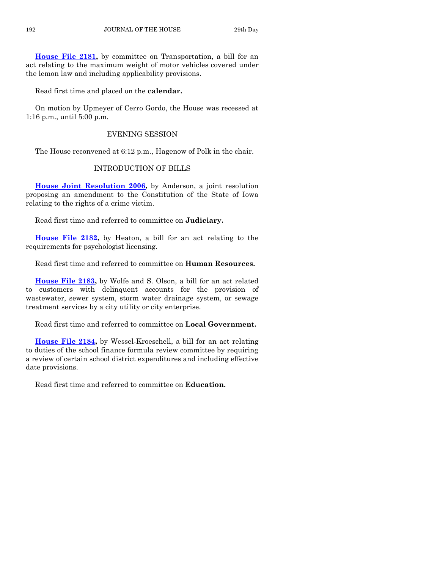**[House File 2181,](http://coolice.legis.iowa.gov/Cool-ICE/default.asp?Category=billinfo&Service=Billbook&frame=1&GA=85&hbill=HF2181)** by committee on Transportation, a bill for an act relating to the maximum weight of motor vehicles covered under the lemon law and including applicability provisions.

Read first time and placed on the **calendar.**

On motion by Upmeyer of Cerro Gordo, the House was recessed at 1:16 p.m., until 5:00 p.m.

# EVENING SESSION

The House reconvened at 6:12 p.m., Hagenow of Polk in the chair.

# INTRODUCTION OF BILLS

**[House Joint Resolution 2006,](http://coolice.legis.iowa.gov/Cool-ICE/default.asp?Category=billinfo&Service=Billbook&frame=1&GA=85&hbill=HJR2006)** by Anderson, a joint resolution proposing an amendment to the Constitution of the State of Iowa relating to the rights of a crime victim.

Read first time and referred to committee on **Judiciary.**

**[House File 2182,](http://coolice.legis.iowa.gov/Cool-ICE/default.asp?Category=billinfo&Service=Billbook&frame=1&GA=85&hbill=HF2182)** by Heaton, a bill for an act relating to the requirements for psychologist licensing.

Read first time and referred to committee on **Human Resources.**

**[House File 2183,](http://coolice.legis.iowa.gov/Cool-ICE/default.asp?Category=billinfo&Service=Billbook&frame=1&GA=85&hbill=HF2183)** by Wolfe and S. Olson, a bill for an act related to customers with delinquent accounts for the provision of wastewater, sewer system, storm water drainage system, or sewage treatment services by a city utility or city enterprise.

Read first time and referred to committee on **Local Government.**

**[House File 2184,](http://coolice.legis.iowa.gov/Cool-ICE/default.asp?Category=billinfo&Service=Billbook&frame=1&GA=85&hbill=HF2184)** by Wessel-Kroeschell, a bill for an act relating to duties of the school finance formula review committee by requiring a review of certain school district expenditures and including effective date provisions.

Read first time and referred to committee on **Education.**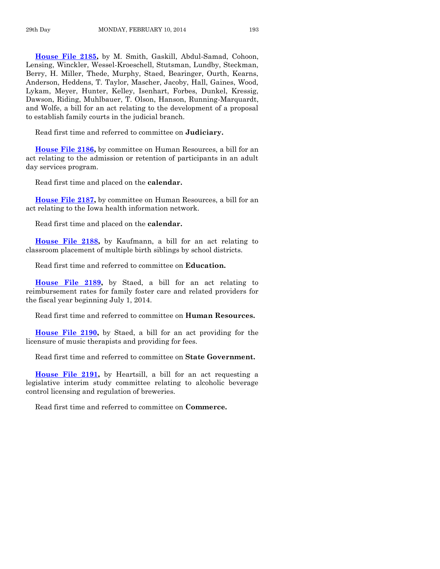**[House File 2185,](http://coolice.legis.iowa.gov/Cool-ICE/default.asp?Category=billinfo&Service=Billbook&frame=1&GA=85&hbill=HF2185)** by M. Smith, Gaskill, Abdul-Samad, Cohoon, Lensing, Winckler, Wessel-Kroeschell, Stutsman, Lundby, Steckman, Berry, H. Miller, Thede, Murphy, Staed, Bearinger, Ourth, Kearns, Anderson, Heddens, T. Taylor, Mascher, Jacoby, Hall, Gaines, Wood, Lykam, Meyer, Hunter, Kelley, Isenhart, Forbes, Dunkel, Kressig, Dawson, Riding, Muhlbauer, T. Olson, Hanson, Running-Marquardt, and Wolfe, a bill for an act relating to the development of a proposal to establish family courts in the judicial branch.

Read first time and referred to committee on **Judiciary.**

**[House File 2186,](http://coolice.legis.iowa.gov/Cool-ICE/default.asp?Category=billinfo&Service=Billbook&frame=1&GA=85&hbill=HF2186)** by committee on Human Resources, a bill for an act relating to the admission or retention of participants in an adult day services program.

Read first time and placed on the **calendar.**

**[House File 2187,](http://coolice.legis.iowa.gov/Cool-ICE/default.asp?Category=billinfo&Service=Billbook&frame=1&GA=85&hbill=HF2187)** by committee on Human Resources, a bill for an act relating to the Iowa health information network.

Read first time and placed on the **calendar.**

**[House File 2188,](http://coolice.legis.iowa.gov/Cool-ICE/default.asp?Category=billinfo&Service=Billbook&frame=1&GA=85&hbill=HF2188)** by Kaufmann, a bill for an act relating to classroom placement of multiple birth siblings by school districts.

Read first time and referred to committee on **Education.**

**[House File 2189,](http://coolice.legis.iowa.gov/Cool-ICE/default.asp?Category=billinfo&Service=Billbook&frame=1&GA=85&hbill=HF2189)** by Staed, a bill for an act relating to reimbursement rates for family foster care and related providers for the fiscal year beginning July 1, 2014.

Read first time and referred to committee on **Human Resources.**

**[House File 2190,](http://coolice.legis.iowa.gov/Cool-ICE/default.asp?Category=billinfo&Service=Billbook&frame=1&GA=85&hbill=HF2190)** by Staed, a bill for an act providing for the licensure of music therapists and providing for fees.

Read first time and referred to committee on **State Government.**

**House [File 2191,](http://coolice.legis.iowa.gov/Cool-ICE/default.asp?Category=billinfo&Service=Billbook&frame=1&GA=85&hbill=HF2191)** by Heartsill, a bill for an act requesting a legislative interim study committee relating to alcoholic beverage control licensing and regulation of breweries.

Read first time and referred to committee on **Commerce.**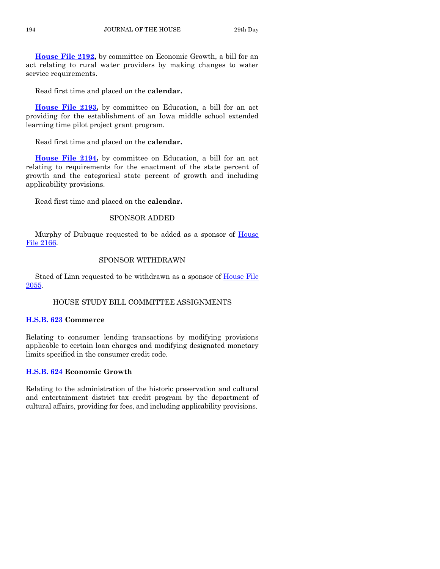**[House File 2192,](http://coolice.legis.iowa.gov/Cool-ICE/default.asp?Category=billinfo&Service=Billbook&frame=1&GA=85&hbill=HF2192)** by committee on Economic Growth, a bill for an act relating to rural water providers by making changes to water service requirements.

Read first time and placed on the **calendar.**

**[House File 2193,](http://coolice.legis.iowa.gov/Cool-ICE/default.asp?Category=billinfo&Service=Billbook&frame=1&GA=85&hbill=HF2193)** by committee on Education, a bill for an act providing for the establishment of an Iowa middle school extended learning time pilot project grant program.

Read first time and placed on the **calendar.**

**[House File 2194,](http://coolice.legis.iowa.gov/Cool-ICE/default.asp?Category=billinfo&Service=Billbook&frame=1&GA=85&hbill=HF2194)** by committee on Education, a bill for an act relating to requirements for the enactment of the state percent of growth and the categorical state percent of growth and including applicability provisions.

Read first time and placed on the **calendar.**

# SPONSOR ADDED

Murphy of Dubuque requested to be added as a sponsor of [House](http://coolice.legis.iowa.gov/Cool-ICE/default.asp?Category=billinfo&Service=Billbook&frame=1&GA=85&hbill=HF2166)  [File 2166.](http://coolice.legis.iowa.gov/Cool-ICE/default.asp?Category=billinfo&Service=Billbook&frame=1&GA=85&hbill=HF2166)

# SPONSOR WITHDRAWN

Staed of Linn requested to be withdrawn as a sponsor of **House File** [2055.](http://coolice.legis.iowa.gov/Cool-ICE/default.asp?Category=billinfo&Service=Billbook&frame=1&GA=85&hbill=HF2055)

# HOUSE STUDY BILL COMMITTEE ASSIGNMENTS

# **[H.S.B. 623](http://coolice.legis.iowa.gov/Cool-ICE/default.asp?Category=billinfo&Service=Billbook&frame=1&GA=85&hbill=HSB623) Commerce**

Relating to consumer lending transactions by modifying provisions applicable to certain loan charges and modifying designated monetary limits specified in the consumer credit code.

# **[H.S.B. 624](http://coolice.legis.iowa.gov/Cool-ICE/default.asp?Category=billinfo&Service=Billbook&frame=1&GA=85&hbill=HSB624) Economic Growth**

Relating to the administration of the historic preservation and cultural and entertainment district tax credit program by the department of cultural affairs, providing for fees, and including applicability provisions.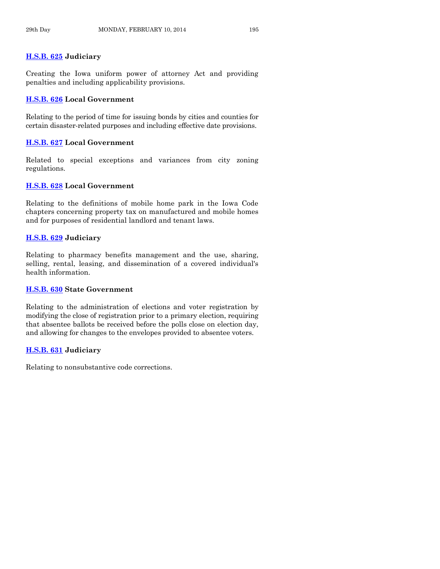# **[H.S.B. 625](http://coolice.legis.iowa.gov/Cool-ICE/default.asp?Category=billinfo&Service=Billbook&frame=1&GA=85&hbill=HSB625) Judiciary**

Creating the Iowa uniform power of attorney Act and providing penalties and including applicability provisions.

# **[H.S.B. 626](http://coolice.legis.iowa.gov/Cool-ICE/default.asp?Category=billinfo&Service=Billbook&frame=1&GA=85&hbill=HSB626) Local Government**

Relating to the period of time for issuing bonds by cities and counties for certain disaster-related purposes and including effective date provisions.

# **[H.S.B. 627](http://coolice.legis.iowa.gov/Cool-ICE/default.asp?Category=billinfo&Service=Billbook&frame=1&GA=85&hbill=HSB627) Local Government**

Related to special exceptions and variances from city zoning regulations.

# **[H.S.B. 628](http://coolice.legis.iowa.gov/Cool-ICE/default.asp?Category=billinfo&Service=Billbook&frame=1&GA=85&hbill=HSB628) Local Government**

Relating to the definitions of mobile home park in the Iowa Code chapters concerning property tax on manufactured and mobile homes and for purposes of residential landlord and tenant laws.

# **[H.S.B. 629](http://coolice.legis.iowa.gov/Cool-ICE/default.asp?Category=billinfo&Service=Billbook&frame=1&GA=85&hbill=HSB629) Judiciary**

Relating to pharmacy benefits management and the use, sharing, selling, rental, leasing, and dissemination of a covered individual's health information.

# **[H.S.B. 630](http://coolice.legis.iowa.gov/Cool-ICE/default.asp?Category=billinfo&Service=Billbook&frame=1&GA=85&hbill=HSB630) State Government**

Relating to the administration of elections and voter registration by modifying the close of registration prior to a primary election, requiring that absentee ballots be received before the polls close on election day, and allowing for changes to the envelopes provided to absentee voters.

# **[H.S.B. 631](http://coolice.legis.iowa.gov/Cool-ICE/default.asp?Category=billinfo&Service=Billbook&frame=1&GA=85&hbill=HSB631) Judiciary**

Relating to nonsubstantive code corrections.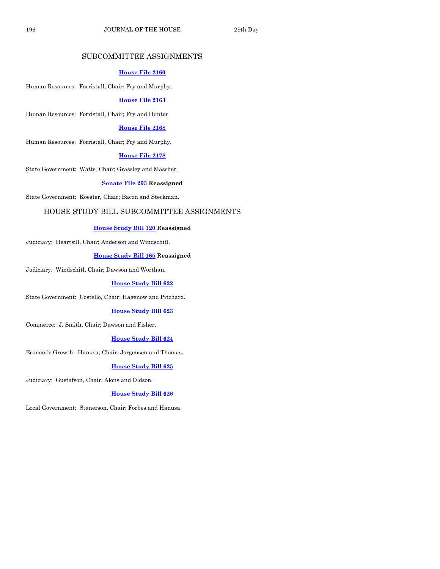# SUBCOMMITTEE ASSIGNMENTS

#### **[House File 2160](http://coolice.legis.iowa.gov/Cool-ICE/default.asp?Category=billinfo&Service=Billbook&frame=1&GA=85&hbill=HF2160)**

Human Resources: Forristall, Chair; Fry and Murphy.

#### **[House File 2163](http://coolice.legis.iowa.gov/Cool-ICE/default.asp?Category=billinfo&Service=Billbook&frame=1&GA=85&hbill=HF2163)**

Human Resources: Forristall, Chair; Fry and Hunter.

#### **[House File 2168](http://coolice.legis.iowa.gov/Cool-ICE/default.asp?Category=billinfo&Service=Billbook&frame=1&GA=85&hbill=HF2168)**

Human Resources: Forristall, Chair; Fry and Murphy.

#### **[House File 2178](http://coolice.legis.iowa.gov/Cool-ICE/default.asp?Category=billinfo&Service=Billbook&frame=1&GA=85&hbill=HF2178)**

State Government: Watts, Chair; Grassley and Mascher.

#### **[Senate File 293](http://coolice.legis.iowa.gov/Cool-ICE/default.asp?Category=billinfo&Service=Billbook&frame=1&GA=85&hbill=SF293) Reassigned**

State Government: Koester, Chair; Bacon and Steckman.

#### HOUSE STUDY BILL SUBCOMMITTEE ASSIGNMENTS

#### **[House Study Bill 120](http://coolice.legis.iowa.gov/Cool-ICE/default.asp?Category=billinfo&Service=Billbook&frame=1&GA=85&hbill=HSB120) Reassigned**

Judiciary: Heartsill, Chair; Anderson and Windschitl.

#### **[House Study Bill 165](http://coolice.legis.iowa.gov/Cool-ICE/default.asp?Category=billinfo&Service=Billbook&frame=1&GA=85&hbill=HSB165) Reassigned**

Judiciary: Windschitl, Chair; Dawson and Worthan.

#### **[House Study Bill 622](http://coolice.legis.iowa.gov/Cool-ICE/default.asp?Category=billinfo&Service=Billbook&frame=1&GA=85&hbill=HSB622)**

State Government: Costello, Chair; Hagenow and Prichard.

#### **[House Study Bill 623](http://coolice.legis.iowa.gov/Cool-ICE/default.asp?Category=billinfo&Service=Billbook&frame=1&GA=85&hbill=HSB623)**

Commerce: J. Smith, Chair; Dawson and Fisher.

#### **[House Study Bill 624](http://coolice.legis.iowa.gov/Cool-ICE/default.asp?Category=billinfo&Service=Billbook&frame=1&GA=85&hbill=HSB624)**

Economic Growth: Hanusa, Chair; Jorgensen and Thomas.

#### **[House Study Bill 625](http://coolice.legis.iowa.gov/Cool-ICE/default.asp?Category=billinfo&Service=Billbook&frame=1&GA=85&hbill=HSB625)**

Judiciary: Gustafson, Chair; Alons and Oldson.

#### **[House Study Bill 626](http://coolice.legis.iowa.gov/Cool-ICE/default.asp?Category=billinfo&Service=Billbook&frame=1&GA=85&hbill=HSB626)**

Local Government: Stanerson, Chair; Forbes and Hanusa.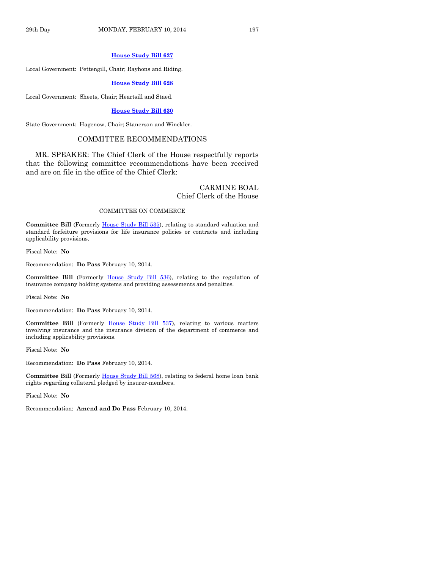#### **[House Study Bill 627](http://coolice.legis.iowa.gov/Cool-ICE/default.asp?Category=billinfo&Service=Billbook&frame=1&GA=85&hbill=HSB627)**

Local Government: Pettengill, Chair; Rayhons and Riding.

**[House Study Bill 628](http://coolice.legis.iowa.gov/Cool-ICE/default.asp?Category=billinfo&Service=Billbook&frame=1&GA=85&hbill=HSB628)**

Local Government: Sheets, Chair; Heartsill and Staed.

#### **[House Study Bill 630](http://coolice.legis.iowa.gov/Cool-ICE/default.asp?Category=billinfo&Service=Billbook&frame=1&GA=85&hbill=HSB630)**

State Government: Hagenow, Chair; Stanerson and Winckler.

#### COMMITTEE RECOMMENDATIONS

MR. SPEAKER: The Chief Clerk of the House respectfully reports that the following committee recommendations have been received and are on file in the office of the Chief Clerk:

#### CARMINE BOAL Chief Clerk of the House

#### COMMITTEE ON COMMERCE

**Committee Bill** (Formerly [House Study Bill 535\)](http://coolice.legis.iowa.gov/Cool-ICE/default.asp?Category=billinfo&Service=Billbook&frame=1&GA=85&hbill=HSB535), relating to standard valuation and standard forfeiture provisions for life insurance policies or contracts and including applicability provisions.

Fiscal Note: **No**

Recommendation: **Do Pass** February 10, 2014.

**Committee Bill** (Formerly [House Study Bill 536\)](http://coolice.legis.iowa.gov/Cool-ICE/default.asp?Category=billinfo&Service=Billbook&frame=1&GA=85&hbill=HSB536), relating to the regulation of insurance company holding systems and providing assessments and penalties.

Fiscal Note: **No**

Recommendation: **Do Pass** February 10, 2014.

**Committee Bill** (Formerly [House Study Bill 537\)](http://coolice.legis.iowa.gov/Cool-ICE/default.asp?Category=billinfo&Service=Billbook&frame=1&GA=85&hbill=HSB537), relating to various matters involving insurance and the insurance division of the department of commerce and including applicability provisions.

Fiscal Note: **No**

Recommendation: **Do Pass** February 10, 2014.

**Committee Bill** (Formerly [House Study Bill 568\)](http://coolice.legis.iowa.gov/Cool-ICE/default.asp?Category=billinfo&Service=Billbook&frame=1&GA=85&hbill=HSB568), relating to federal home loan bank rights regarding collateral pledged by insurer-members.

Fiscal Note: **No**

Recommendation: **Amend and Do Pass** February 10, 2014.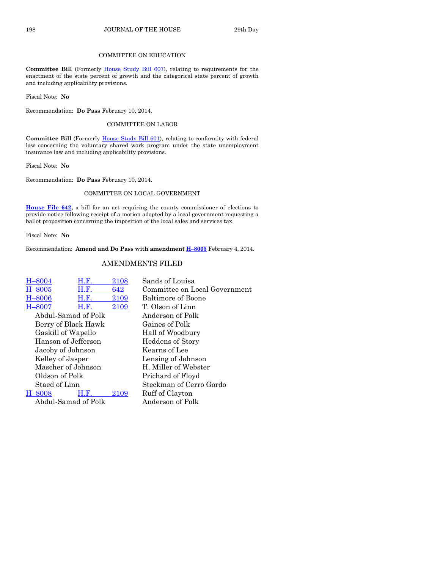## COMMITTEE ON EDUCATION

Committee Bill (Formerly [House Study Bill 607\)](http://coolice.legis.iowa.gov/Cool-ICE/default.asp?Category=billinfo&Service=Billbook&frame=1&GA=85&hbill=HSB607), relating to requirements for the enactment of the state percent of growth and the categorical state percent of growth and including applicability provisions.

Fiscal Note: **No**

Recommendation: **Do Pass** February 10, 2014.

#### COMMITTEE ON LABOR

Committee Bill (Formerly [House Study Bill 601\)](http://coolice.legis.iowa.gov/Cool-ICE/default.asp?Category=billinfo&Service=Billbook&frame=1&GA=85&hbill=HSB601), relating to conformity with federal law concerning the voluntary shared work program under the state unemployment insurance law and including applicability provisions.

Fiscal Note: **No**

Recommendation: **Do Pass** February 10, 2014.

#### COMMITTEE ON LOCAL GOVERNMENT

**[House File 642,](http://coolice.legis.iowa.gov/Cool-ICE/default.asp?Category=billinfo&Service=Billbook&frame=1&GA=85&hbill=HF642)** a bill for an act requiring the county commissioner of elections to provide notice following receipt of a motion adopted by a local government requesting a ballot proposition concerning the imposition of the local sales and services tax.

Fiscal Note: **No**

Recommendation: **Amend and Do Pass with amendment H–[8005](http://coolice.legis.iowa.gov/Cool-ICE/default.asp?Category=billinfo&Service=Billbook&frame=1&GA=85&hbill=H8005)** February 4, 2014.

## AMENDMENTS FILED

| H-8004              | H.F. | 2108 | Sands of Louisa               |
|---------------------|------|------|-------------------------------|
| $H - 8005$          | H.F. | 642  | Committee on Local Government |
| $H - 8006$          | H.F. | 2109 | <b>Baltimore of Boone</b>     |
| $H - 8007$          | H.F. | 2109 | T. Olson of Linn              |
| Abdul-Samad of Polk |      |      | Anderson of Polk              |
| Berry of Black Hawk |      |      | Gaines of Polk                |
| Gaskill of Wapello  |      |      | Hall of Woodbury              |
| Hanson of Jefferson |      |      | Heddens of Story              |
| Jacoby of Johnson   |      |      | Kearns of Lee                 |
| Kelley of Jasper    |      |      | Lensing of Johnson            |
| Mascher of Johnson  |      |      | H. Miller of Webster          |
| Oldson of Polk      |      |      | Prichard of Floyd             |
| Staed of Linn       |      |      | Steckman of Cerro Gordo       |
| $H - 8008$          | H.F. | 2109 | Ruff of Clayton               |
| Abdul-Samad of Polk |      |      | Anderson of Polk              |
|                     |      |      |                               |